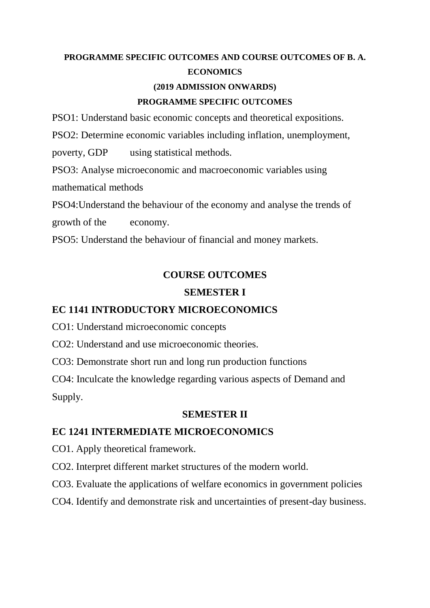# **PROGRAMME SPECIFIC OUTCOMES AND COURSE OUTCOMES OF B. A. ECONOMICS**

#### **(2019 ADMISSION ONWARDS)**

#### **PROGRAMME SPECIFIC OUTCOMES**

PSO1: Understand basic economic concepts and theoretical expositions.

PSO2: Determine economic variables including inflation, unemployment,

poverty, GDP using statistical methods.

PSO3: Analyse microeconomic and macroeconomic variables using mathematical methods

PSO4:Understand the behaviour of the economy and analyse the trends of growth of the economy.

PSO5: Understand the behaviour of financial and money markets.

### **COURSE OUTCOMES**

#### **SEMESTER I**

#### **EC 1141 INTRODUCTORY MICROECONOMICS**

CO1: Understand microeconomic concepts

CO2: Understand and use microeconomic theories.

CO3: Demonstrate short run and long run production functions

CO4: Inculcate the knowledge regarding various aspects of Demand and Supply.

#### **SEMESTER II**

### **EC 1241 INTERMEDIATE MICROECONOMICS**

- CO1. Apply theoretical framework.
- CO2. Interpret different market structures of the modern world.
- CO3. Evaluate the applications of welfare economics in government policies
- CO4. Identify and demonstrate risk and uncertainties of present-day business.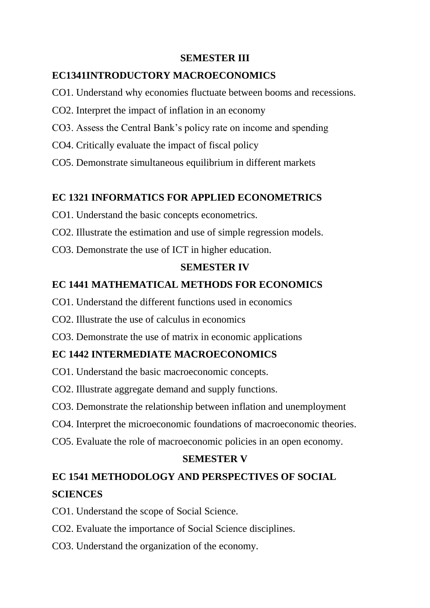#### **SEMESTER III**

### **EC1341INTRODUCTORY MACROECONOMICS**

- CO1. Understand why economies fluctuate between booms and recessions.
- CO2. Interpret the impact of inflation in an economy
- CO3. Assess the Central Bank's policy rate on income and spending
- CO4. Critically evaluate the impact of fiscal policy
- CO5. Demonstrate simultaneous equilibrium in different markets

# **EC 1321 INFORMATICS FOR APPLIED ECONOMETRICS**

- CO1. Understand the basic concepts econometrics.
- CO2. Illustrate the estimation and use of simple regression models.
- CO3. Demonstrate the use of ICT in higher education.

## **SEMESTER IV**

# **EC 1441 MATHEMATICAL METHODS FOR ECONOMICS**

- CO1. Understand the different functions used in economics
- CO2. Illustrate the use of calculus in economics
- CO3. Demonstrate the use of matrix in economic applications

# **EC 1442 INTERMEDIATE MACROECONOMICS**

- CO1. Understand the basic macroeconomic concepts.
- CO2. Illustrate aggregate demand and supply functions.
- CO3. Demonstrate the relationship between inflation and unemployment
- CO4. Interpret the microeconomic foundations of macroeconomic theories.
- CO5. Evaluate the role of macroeconomic policies in an open economy.

### **SEMESTER V**

# **EC 1541 METHODOLOGY AND PERSPECTIVES OF SOCIAL SCIENCES**

- CO1. Understand the scope of Social Science.
- CO2. Evaluate the importance of Social Science disciplines.
- CO3. Understand the organization of the economy.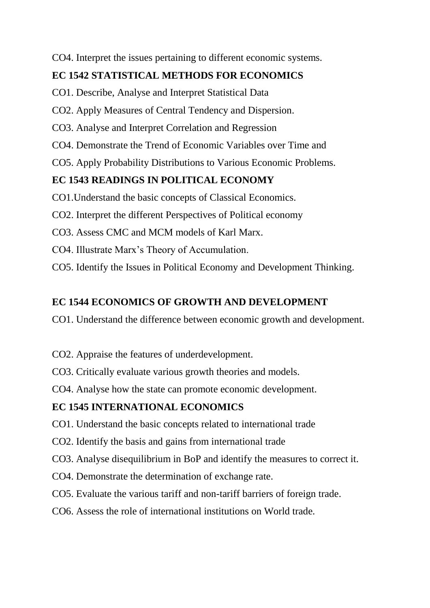CO4. Interpret the issues pertaining to different economic systems.

## **EC 1542 STATISTICAL METHODS FOR ECONOMICS**

- CO1. Describe, Analyse and Interpret Statistical Data
- CO2. Apply Measures of Central Tendency and Dispersion.
- CO3. Analyse and Interpret Correlation and Regression
- CO4. Demonstrate the Trend of Economic Variables over Time and
- CO5. Apply Probability Distributions to Various Economic Problems.

## **EC 1543 READINGS IN POLITICAL ECONOMY**

- CO1.Understand the basic concepts of Classical Economics.
- CO2. Interpret the different Perspectives of Political economy
- CO3. Assess CMC and MCM models of Karl Marx.
- CO4. Illustrate Marx's Theory of Accumulation.
- CO5. Identify the Issues in Political Economy and Development Thinking.

## **EC 1544 ECONOMICS OF GROWTH AND DEVELOPMENT**

- CO1. Understand the difference between economic growth and development.
- CO2. Appraise the features of underdevelopment.
- CO3. Critically evaluate various growth theories and models.
- CO4. Analyse how the state can promote economic development.

### **EC 1545 INTERNATIONAL ECONOMICS**

- CO1. Understand the basic concepts related to international trade
- CO2. Identify the basis and gains from international trade
- CO3. Analyse disequilibrium in BoP and identify the measures to correct it.
- CO4. Demonstrate the determination of exchange rate.
- CO5. Evaluate the various tariff and non-tariff barriers of foreign trade.
- CO6. Assess the role of international institutions on World trade.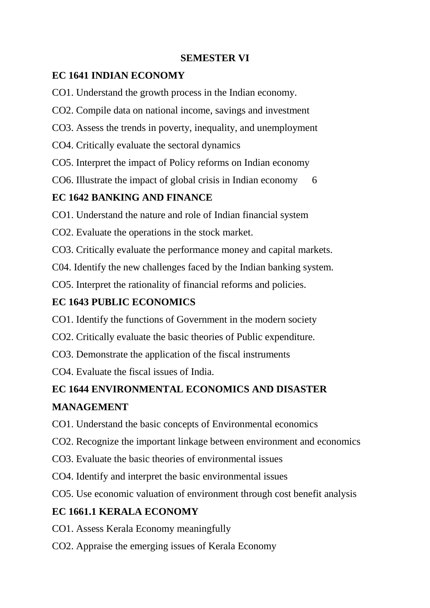#### **SEMESTER VI**

## **EC 1641 INDIAN ECONOMY**

- CO1. Understand the growth process in the Indian economy.
- CO2. Compile data on national income, savings and investment
- CO3. Assess the trends in poverty, inequality, and unemployment
- CO4. Critically evaluate the sectoral dynamics
- CO5. Interpret the impact of Policy reforms on Indian economy
- CO6. Illustrate the impact of global crisis in Indian economy 6

# **EC 1642 BANKING AND FINANCE**

- CO1. Understand the nature and role of Indian financial system
- CO2. Evaluate the operations in the stock market.
- CO3. Critically evaluate the performance money and capital markets.
- C04. Identify the new challenges faced by the Indian banking system.
- CO5. Interpret the rationality of financial reforms and policies.

# **EC 1643 PUBLIC ECONOMICS**

- CO1. Identify the functions of Government in the modern society
- CO2. Critically evaluate the basic theories of Public expenditure.
- CO3. Demonstrate the application of the fiscal instruments
- CO4. Evaluate the fiscal issues of India.

# **EC 1644 ENVIRONMENTAL ECONOMICS AND DISASTER**

# **MANAGEMENT**

- CO1. Understand the basic concepts of Environmental economics
- CO2. Recognize the important linkage between environment and economics
- CO3. Evaluate the basic theories of environmental issues
- CO4. Identify and interpret the basic environmental issues
- CO5. Use economic valuation of environment through cost benefit analysis

# **EC 1661.1 KERALA ECONOMY**

- CO1. Assess Kerala Economy meaningfully
- CO2. Appraise the emerging issues of Kerala Economy